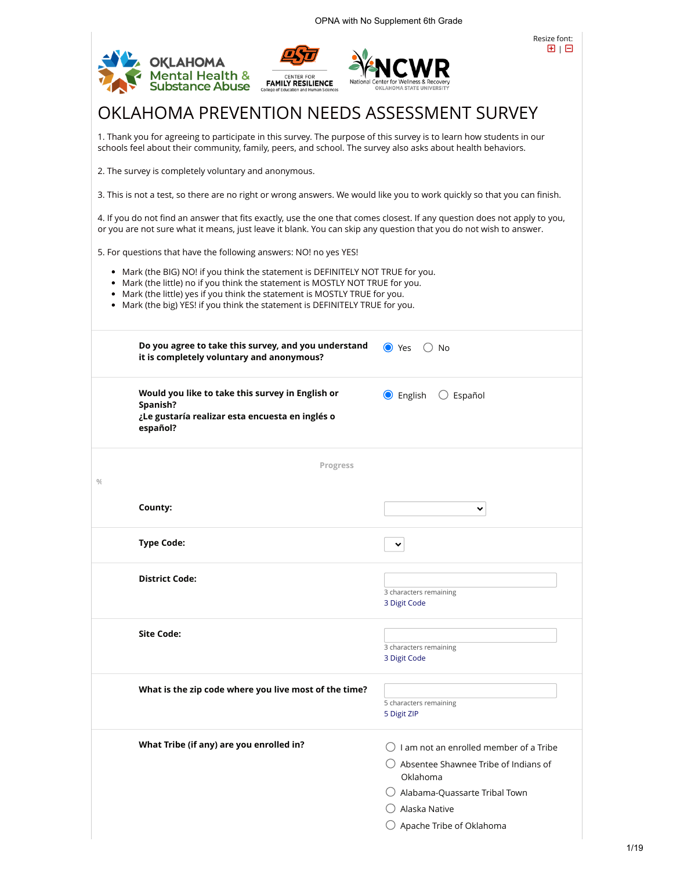|                                                                   | <b>OKLAHOMA</b>                           |                                                                                                                                                          |                                                                                                                                                                                                                                                | Resize font:<br>田工日                               |
|-------------------------------------------------------------------|-------------------------------------------|----------------------------------------------------------------------------------------------------------------------------------------------------------|------------------------------------------------------------------------------------------------------------------------------------------------------------------------------------------------------------------------------------------------|---------------------------------------------------|
|                                                                   | Mental Health &<br>Substance Abuse        | <b>CENTER FOR</b><br><b>FAMILY RESILIENCE</b><br>lege of Education and Human Sciences                                                                    | National<br>OKLAHOMA STATE UNIVERSIT                                                                                                                                                                                                           |                                                   |
|                                                                   |                                           |                                                                                                                                                          | OKLAHOMA PREVENTION NEEDS ASSESSMENT SURVEY                                                                                                                                                                                                    |                                                   |
|                                                                   |                                           |                                                                                                                                                          | 1. Thank you for agreeing to participate in this survey. The purpose of this survey is to learn how students in our<br>schools feel about their community, family, peers, and school. The survey also asks about health behaviors.             |                                                   |
| 2. The survey is completely voluntary and anonymous.              |                                           |                                                                                                                                                          |                                                                                                                                                                                                                                                |                                                   |
|                                                                   |                                           |                                                                                                                                                          | 3. This is not a test, so there are no right or wrong answers. We would like you to work quickly so that you can finish.                                                                                                                       |                                                   |
|                                                                   |                                           |                                                                                                                                                          | 4. If you do not find an answer that fits exactly, use the one that comes closest. If any question does not apply to you,<br>or you are not sure what it means, just leave it blank. You can skip any question that you do not wish to answer. |                                                   |
| 5. For questions that have the following answers: NO! no yes YES! |                                           |                                                                                                                                                          |                                                                                                                                                                                                                                                |                                                   |
|                                                                   |                                           | • Mark (the little) yes if you think the statement is MOSTLY TRUE for you.<br>Mark (the big) YES! if you think the statement is DEFINITELY TRUE for you. | • Mark (the BIG) NO! if you think the statement is DEFINITELY NOT TRUE for you.<br>Mark (the little) no if you think the statement is MOSTLY NOT TRUE for you.                                                                                 |                                                   |
|                                                                   | it is completely voluntary and anonymous? | Do you agree to take this survey, and you understand                                                                                                     | $\bullet$ Yes<br>No                                                                                                                                                                                                                            |                                                   |
| Spanish?                                                          |                                           | Would you like to take this survey in English or                                                                                                         | <b>O</b> English<br>$\bigcirc$ Español                                                                                                                                                                                                         |                                                   |
| español?                                                          |                                           | ¿Le gustaría realizar esta encuesta en inglés o                                                                                                          |                                                                                                                                                                                                                                                |                                                   |
|                                                                   |                                           | Progress                                                                                                                                                 |                                                                                                                                                                                                                                                |                                                   |
| $\frac{0}{4}$                                                     |                                           |                                                                                                                                                          |                                                                                                                                                                                                                                                |                                                   |
| County:                                                           |                                           |                                                                                                                                                          |                                                                                                                                                                                                                                                |                                                   |
| <b>Type Code:</b>                                                 |                                           |                                                                                                                                                          |                                                                                                                                                                                                                                                |                                                   |
| <b>District Code:</b>                                             |                                           |                                                                                                                                                          | 3 characters remaining<br>3 Digit Code                                                                                                                                                                                                         |                                                   |
| <b>Site Code:</b>                                                 |                                           |                                                                                                                                                          | 3 characters remaining<br>3 Digit Code                                                                                                                                                                                                         |                                                   |
|                                                                   |                                           | What is the zip code where you live most of the time?                                                                                                    |                                                                                                                                                                                                                                                |                                                   |
|                                                                   |                                           |                                                                                                                                                          | 5 characters remaining<br>5 Digit ZIP                                                                                                                                                                                                          |                                                   |
|                                                                   |                                           |                                                                                                                                                          |                                                                                                                                                                                                                                                |                                                   |
|                                                                   | What Tribe (if any) are you enrolled in?  |                                                                                                                                                          |                                                                                                                                                                                                                                                | $\bigcirc$ I am not an enrolled member of a Tribe |
|                                                                   |                                           |                                                                                                                                                          | $\Box$ Absentee Shawnee Tribe of Indians of                                                                                                                                                                                                    |                                                   |
|                                                                   |                                           |                                                                                                                                                          | Oklahoma                                                                                                                                                                                                                                       |                                                   |
|                                                                   |                                           |                                                                                                                                                          | $\bigcirc$ Alabama-Quassarte Tribal Town<br>Alaska Native                                                                                                                                                                                      |                                                   |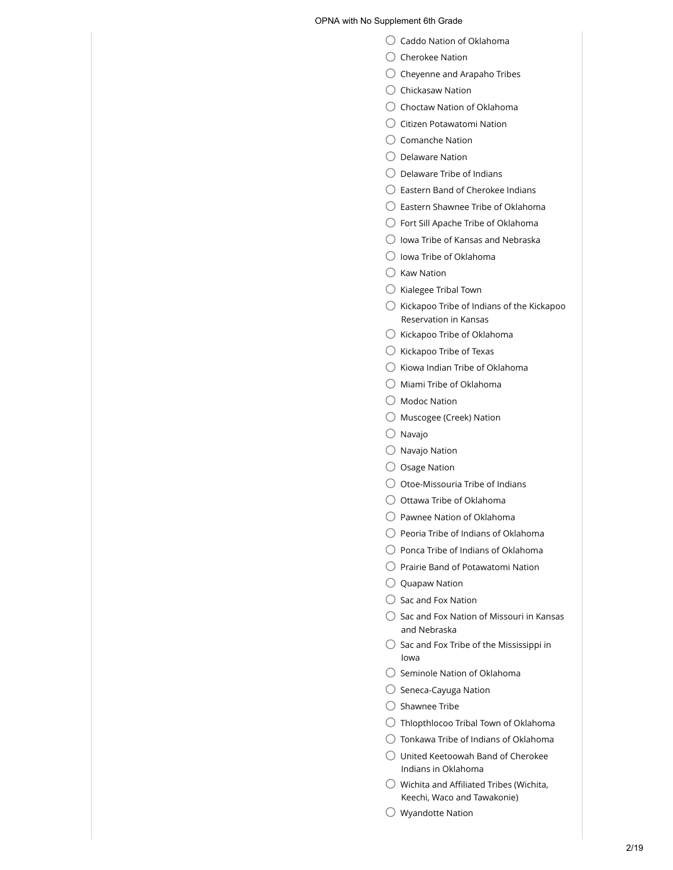- ◯ Caddo Nation of Oklahoma
- $\bigcirc$  Cherokee Nation
- $\bigcirc$  Cheyenne and Arapaho Tribes
- $\bigcirc$  Chickasaw Nation
- $\bigcirc$  Choctaw Nation of Oklahoma
- $\bigcirc$  Citizen Potawatomi Nation
- $\bigcirc$  Comanche Nation
- $\bigcirc$  Delaware Nation
- $\bigcirc$  Delaware Tribe of Indians
- $\bigcirc$  Eastern Band of Cherokee Indians
- $\bigcirc$  Eastern Shawnee Tribe of Oklahoma
- Fort Sill Apache Tribe of Oklahoma
- $\bigcirc$  Iowa Tribe of Kansas and Nebraska
- $\bigcirc$  Iowa Tribe of Oklahoma
- $\bigcirc$  Kaw Nation
- $\bigcirc$  Kialegee Tribal Town
- $\bigcirc$  Kickapoo Tribe of Indians of the Kickapoo Reservation in Kansas
- $\bigcirc$  Kickapoo Tribe of Oklahoma
- $\bigcirc$  Kickapoo Tribe of Texas
- $\bigcirc$  Kiowa Indian Tribe of Oklahoma
- $\bigcirc$  Miami Tribe of Oklahoma
- Modoc Nation
- $\bigcirc$  Muscogee (Creek) Nation
- $\bigcirc$  Navajo
- $\bigcirc$  Navajo Nation
- $\bigcirc$  Osage Nation
- $\bigcirc$  Otoe-Missouria Tribe of Indians
- $\bigcirc$  Ottawa Tribe of Oklahoma
- $\bigcirc$  Pawnee Nation of Oklahoma
- $\bigcirc$  Peoria Tribe of Indians of Oklahoma
- $\bigcirc$  Ponca Tribe of Indians of Oklahoma
- $\bigcirc$  Prairie Band of Potawatomi Nation
- $\bigcirc$  Quapaw Nation
- $\bigcirc$  Sac and Fox Nation
- $\bigcirc$  Sac and Fox Nation of Missouri in Kansas and Nebraska
- $\bigcirc$  Sac and Fox Tribe of the Mississippi in Iowa
- $\bigcirc$  Seminole Nation of Oklahoma
- $\bigcirc$  Seneca-Cayuga Nation
- $\bigcirc$  Shawnee Tribe
- $\bigcirc$  Thlopthlocoo Tribal Town of Oklahoma
- $\bigcirc$  Tonkawa Tribe of Indians of Oklahoma
- $\bigcirc$  United Keetoowah Band of Cherokee Indians in Oklahoma
- $\bigcirc$  Wichita and Affiliated Tribes (Wichita, Keechi, Waco and Tawakonie)
- $\bigcirc$  Wyandotte Nation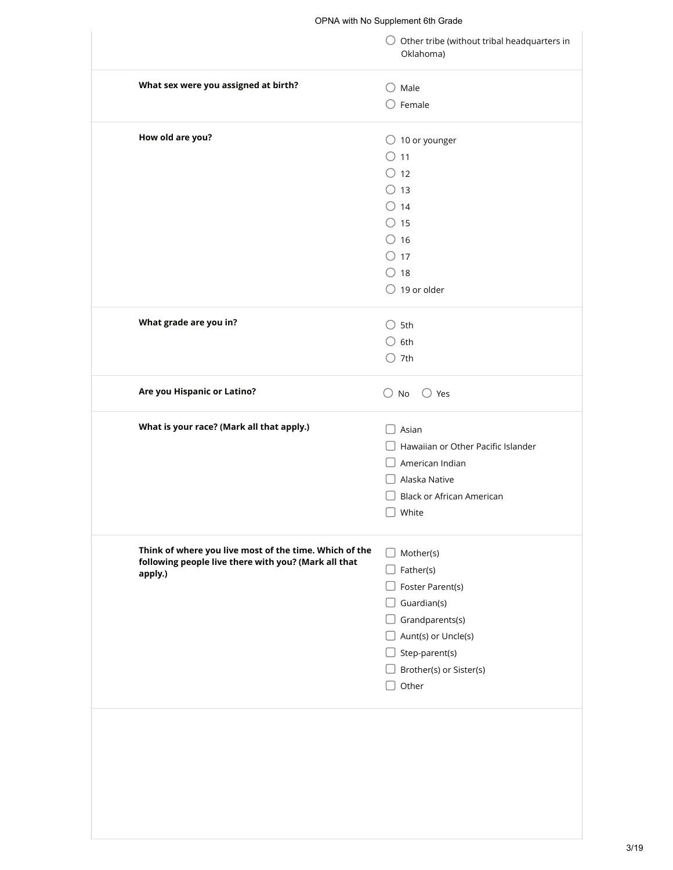|                                                        | $\bigcirc$ Other tribe (without tribal headquarters in<br>Oklahoma) |
|--------------------------------------------------------|---------------------------------------------------------------------|
| What sex were you assigned at birth?                   | $\bigcirc$ Male                                                     |
|                                                        | $\bigcirc$ Female                                                   |
| How old are you?                                       | $\bigcirc$ 10 or younger                                            |
|                                                        | $\bigcirc$ 11                                                       |
|                                                        | $\bigcirc$ 12                                                       |
|                                                        | $\bigcirc$ 13                                                       |
|                                                        | $\bigcirc$ 14                                                       |
|                                                        | $\circ$ 15                                                          |
|                                                        | $\circ$ 16                                                          |
|                                                        | $\circ$ 17                                                          |
|                                                        | $\bigcirc$ 18                                                       |
|                                                        | $\bigcirc$ 19 or older                                              |
| What grade are you in?                                 | $\bigcirc$ 5th                                                      |
|                                                        | $\bigcirc$ 6th                                                      |
|                                                        | $\bigcirc$ 7th                                                      |
| Are you Hispanic or Latino?                            | $\bigcirc$ No<br>$\bigcirc$ Yes                                     |
| What is your race? (Mark all that apply.)              | Asian                                                               |
|                                                        | Hawaiian or Other Pacific Islander                                  |
|                                                        |                                                                     |
|                                                        | American Indian                                                     |
|                                                        | Alaska Native                                                       |
|                                                        | <b>Black or African American</b>                                    |
|                                                        | White                                                               |
| Think of where you live most of the time. Which of the |                                                                     |
| following people live there with you? (Mark all that   | Mother(s)<br>$\Box$                                                 |
|                                                        | Father(s)<br>$\Box$                                                 |
|                                                        | Foster Parent(s)                                                    |
|                                                        | Guardian(s)                                                         |
|                                                        | $\Box$ Grandparents(s)                                              |
|                                                        | $\Box$ Aunt(s) or Uncle(s)                                          |
|                                                        | Step-parent(s)                                                      |
| apply.)                                                | $\Box$ Brother(s) or Sister(s)<br>Other                             |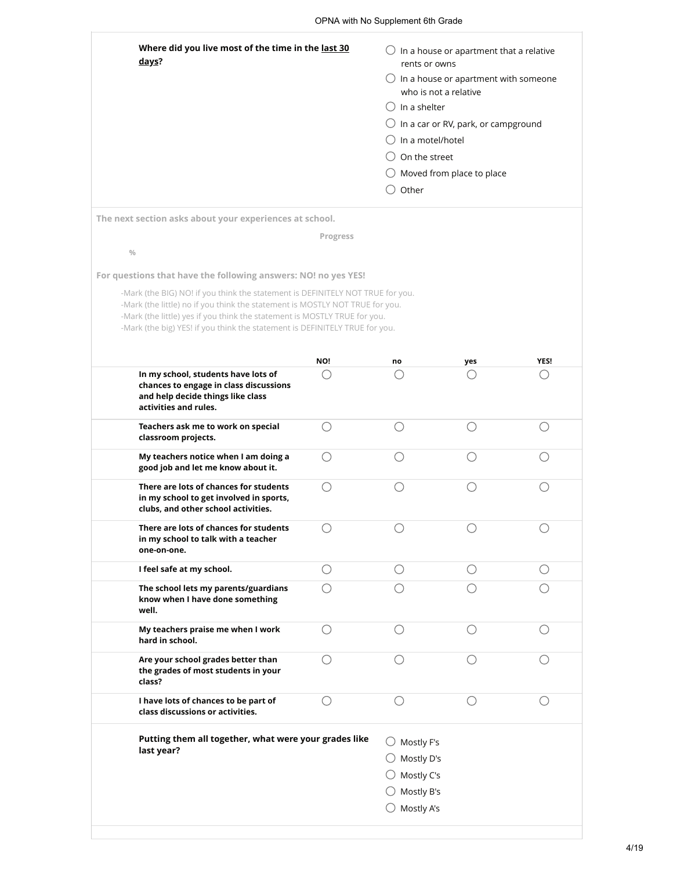| Where did you live most of the time in the last 30<br>days?<br>The next section asks about your experiences at school.<br>$\frac{0}{0}$<br>For questions that have the following answers: NO! no yes YES!                                                                                                                  | Progress | $\bigcirc$ In a house or apartment that a relative<br>rents or owns<br>$\bigcirc$ In a house or apartment with someone<br>who is not a relative<br>( )In a shelter<br>In a car or RV, park, or campground<br>In a motel/hotel<br>On the street<br>$\bigcirc$ Moved from place to place<br>Other |     |             |
|----------------------------------------------------------------------------------------------------------------------------------------------------------------------------------------------------------------------------------------------------------------------------------------------------------------------------|----------|-------------------------------------------------------------------------------------------------------------------------------------------------------------------------------------------------------------------------------------------------------------------------------------------------|-----|-------------|
| -Mark (the BIG) NO! if you think the statement is DEFINITELY NOT TRUE for you.<br>-Mark (the little) no if you think the statement is MOSTLY NOT TRUE for you.<br>-Mark (the little) yes if you think the statement is MOSTLY TRUE for you.<br>-Mark (the big) YES! if you think the statement is DEFINITELY TRUE for you. |          |                                                                                                                                                                                                                                                                                                 |     |             |
|                                                                                                                                                                                                                                                                                                                            | NO!      | no                                                                                                                                                                                                                                                                                              | yes | <b>YES!</b> |
| In my school, students have lots of<br>chances to engage in class discussions<br>and help decide things like class<br>activities and rules.                                                                                                                                                                                |          |                                                                                                                                                                                                                                                                                                 |     |             |
| Teachers ask me to work on special<br>classroom projects.                                                                                                                                                                                                                                                                  | ()       |                                                                                                                                                                                                                                                                                                 |     |             |
| My teachers notice when I am doing a<br>good job and let me know about it.                                                                                                                                                                                                                                                 |          |                                                                                                                                                                                                                                                                                                 |     |             |
| There are lots of chances for students<br>in my school to get involved in sports,<br>clubs, and other school activities.                                                                                                                                                                                                   | ()       |                                                                                                                                                                                                                                                                                                 | ()  |             |
| There are lots of chances for students<br>in my school to talk with a teacher<br>one-on-one.                                                                                                                                                                                                                               |          |                                                                                                                                                                                                                                                                                                 |     |             |
| I feel safe at my school.                                                                                                                                                                                                                                                                                                  | ( )      | ()                                                                                                                                                                                                                                                                                              | ()  | ()          |
| The school lets my parents/guardians<br>know when I have done something<br>well.                                                                                                                                                                                                                                           |          |                                                                                                                                                                                                                                                                                                 |     |             |
| My teachers praise me when I work<br>hard in school.                                                                                                                                                                                                                                                                       | Ω        | ◯                                                                                                                                                                                                                                                                                               | ∩   | ( )         |
| Are your school grades better than<br>the grades of most students in your<br>class?                                                                                                                                                                                                                                        | ∩        |                                                                                                                                                                                                                                                                                                 | ()  |             |
| I have lots of chances to be part of<br>class discussions or activities.                                                                                                                                                                                                                                                   | ()       |                                                                                                                                                                                                                                                                                                 |     |             |
| Putting them all together, what were your grades like<br>last year?                                                                                                                                                                                                                                                        |          | Mostly F's<br>()<br>$\bigcirc$ Mostly D's<br>Mostly C's<br>Mostly B's<br>Mostly A's                                                                                                                                                                                                             |     |             |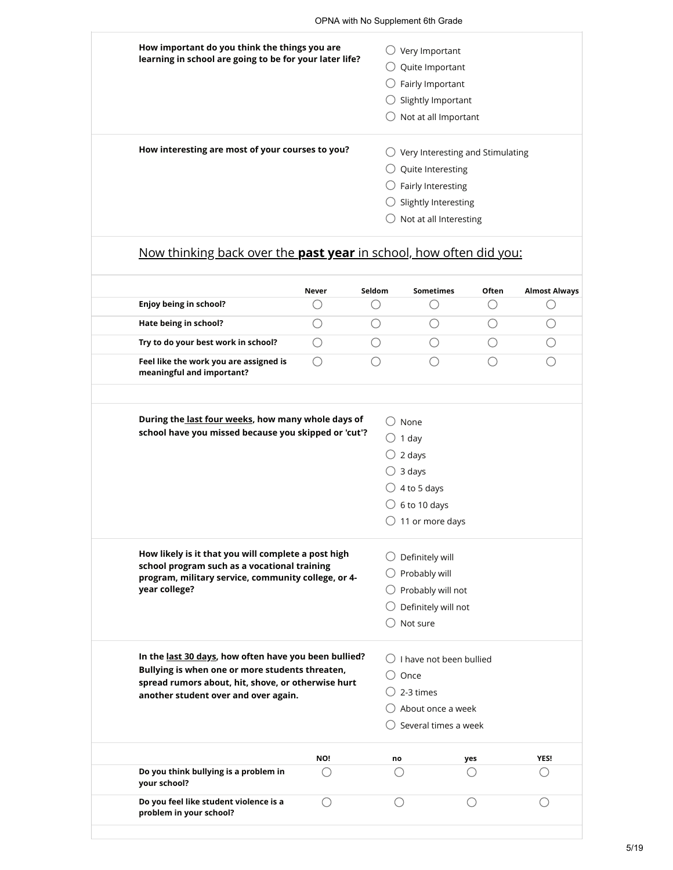| How important do you think the things you are                      |              |                                     | Very Important                   |       |                      |  |  |  |
|--------------------------------------------------------------------|--------------|-------------------------------------|----------------------------------|-------|----------------------|--|--|--|
| learning in school are going to be for your later life?            |              | Quite Important<br>Fairly Important |                                  |       |                      |  |  |  |
|                                                                    |              |                                     |                                  |       |                      |  |  |  |
|                                                                    |              |                                     | Slightly Important               |       |                      |  |  |  |
|                                                                    |              |                                     | Not at all Important             |       |                      |  |  |  |
| How interesting are most of your courses to you?                   |              |                                     | Very Interesting and Stimulating |       |                      |  |  |  |
|                                                                    |              |                                     | Quite Interesting                |       |                      |  |  |  |
|                                                                    |              |                                     | Fairly Interesting               |       |                      |  |  |  |
|                                                                    |              | Slightly Interesting                |                                  |       |                      |  |  |  |
|                                                                    |              |                                     |                                  |       |                      |  |  |  |
|                                                                    |              |                                     | Not at all Interesting           |       |                      |  |  |  |
| Now thinking back over the past year in school, how often did you: |              |                                     |                                  |       |                      |  |  |  |
| Enjoy being in school?                                             | <b>Never</b> | Seldom                              | <b>Sometimes</b>                 | Often |                      |  |  |  |
| Hate being in school?                                              | . .          |                                     |                                  |       |                      |  |  |  |
| Try to do your best work in school?                                | ()           |                                     |                                  |       | <b>Almost Always</b> |  |  |  |

| During the last four weeks, how many whole days of<br>school have you missed because you skipped or 'cut'?                                                                                             |     | None<br>1 day<br>2 days<br>3 days<br>4 to 5 days<br>$\bigcirc$ 6 to 10 days<br>$\bigcirc$ 11 or more days |                                                                      |      |
|--------------------------------------------------------------------------------------------------------------------------------------------------------------------------------------------------------|-----|-----------------------------------------------------------------------------------------------------------|----------------------------------------------------------------------|------|
| How likely is it that you will complete a post high<br>school program such as a vocational training<br>program, military service, community college, or 4-<br>year college?                            |     | Definitely will<br>Probably will<br>Not sure                                                              | Probably will not<br>Definitely will not                             |      |
| In the last 30 days, how often have you been bullied?<br>Bullying is when one or more students threaten,<br>spread rumors about, hit, shove, or otherwise hurt<br>another student over and over again. |     | Once<br>2-3 times                                                                                         | I have not been bullied<br>About once a week<br>Several times a week |      |
|                                                                                                                                                                                                        | NO! | no                                                                                                        | yes                                                                  | YES! |
| Do you think bullying is a problem in<br>your school?                                                                                                                                                  | ()  |                                                                                                           |                                                                      |      |
| Do you feel like student violence is a<br>problem in your school?                                                                                                                                      | ()  | ⊖                                                                                                         |                                                                      |      |
|                                                                                                                                                                                                        |     |                                                                                                           |                                                                      |      |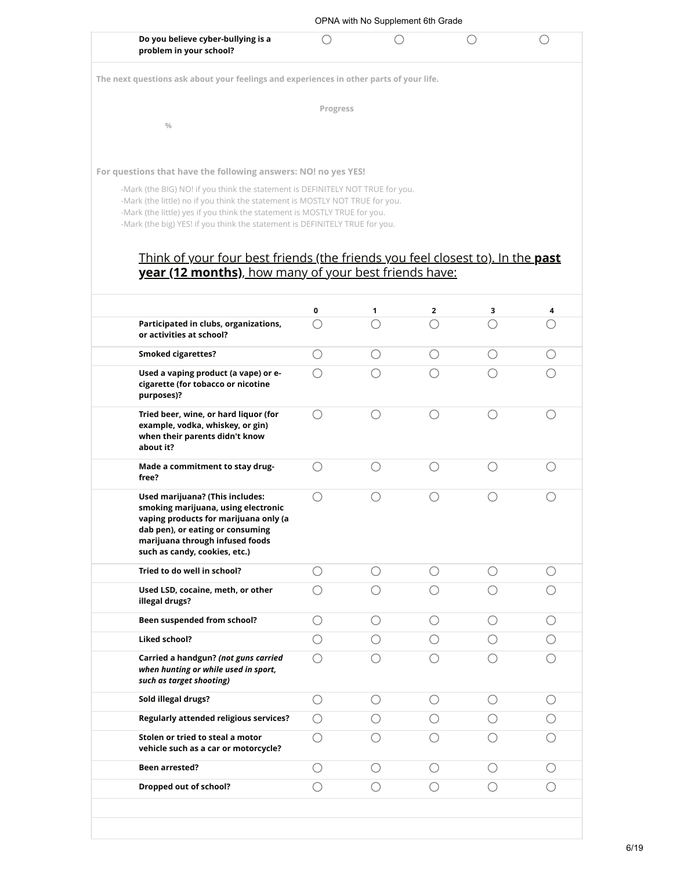|                                                                                                                                                                                                                                                                                                                            |                                                         |                 |                                             |       | ()                                          |
|----------------------------------------------------------------------------------------------------------------------------------------------------------------------------------------------------------------------------------------------------------------------------------------------------------------------------|---------------------------------------------------------|-----------------|---------------------------------------------|-------|---------------------------------------------|
| Do you believe cyber-bullying is a<br>problem in your school?                                                                                                                                                                                                                                                              |                                                         |                 |                                             |       |                                             |
| The next questions ask about your feelings and experiences in other parts of your life.                                                                                                                                                                                                                                    |                                                         |                 |                                             |       |                                             |
|                                                                                                                                                                                                                                                                                                                            |                                                         |                 |                                             |       |                                             |
|                                                                                                                                                                                                                                                                                                                            | Progress                                                |                 |                                             |       |                                             |
| $\frac{0}{0}$                                                                                                                                                                                                                                                                                                              |                                                         |                 |                                             |       |                                             |
|                                                                                                                                                                                                                                                                                                                            |                                                         |                 |                                             |       |                                             |
| For questions that have the following answers: NO! no yes YES!                                                                                                                                                                                                                                                             |                                                         |                 |                                             |       |                                             |
| -Mark (the BIG) NO! if you think the statement is DEFINITELY NOT TRUE for you.<br>-Mark (the little) no if you think the statement is MOSTLY NOT TRUE for you.<br>-Mark (the little) yes if you think the statement is MOSTLY TRUE for you.<br>-Mark (the big) YES! if you think the statement is DEFINITELY TRUE for you. |                                                         |                 |                                             |       |                                             |
| Think of your four best friends (the friends you feel closest to). In the <b>past</b>                                                                                                                                                                                                                                      |                                                         |                 |                                             |       |                                             |
| year (12 months), how many of your best friends have:                                                                                                                                                                                                                                                                      |                                                         |                 |                                             |       |                                             |
|                                                                                                                                                                                                                                                                                                                            | 0                                                       | 1               | $\overline{2}$                              | 3     | 4                                           |
| Participated in clubs, organizations,<br>or activities at school?                                                                                                                                                                                                                                                          | ◯                                                       |                 | ∩                                           |       | $\left(\begin{array}{c} \end{array}\right)$ |
| <b>Smoked cigarettes?</b>                                                                                                                                                                                                                                                                                                  | ( )                                                     | ( )             | O                                           | $($ ) | ( )                                         |
| Used a vaping product (a vape) or e-                                                                                                                                                                                                                                                                                       | ∩                                                       |                 |                                             |       |                                             |
| cigarette (for tobacco or nicotine<br>purposes)?                                                                                                                                                                                                                                                                           |                                                         |                 |                                             |       |                                             |
| Tried beer, wine, or hard liquor (for<br>example, vodka, whiskey, or gin)<br>when their parents didn't know<br>about it?                                                                                                                                                                                                   | ()                                                      |                 | $\left(\begin{array}{c} \end{array}\right)$ | ◯     | ()                                          |
| Made a commitment to stay drug-<br>free?                                                                                                                                                                                                                                                                                   | ( )                                                     |                 | ()                                          |       |                                             |
| Used marijuana? (This includes:<br>smoking marijuana, using electronic<br>vaping products for marijuana only (a<br>dab pen), or eating or consuming<br>marijuana through infused foods<br>such as candy, cookies, etc.)                                                                                                    | ( )                                                     |                 | ()                                          |       |                                             |
| Tried to do well in school?                                                                                                                                                                                                                                                                                                | O                                                       | $\left(\right)$ | ( )                                         | ()    | ( )                                         |
| Used LSD, cocaine, meth, or other<br>illegal drugs?                                                                                                                                                                                                                                                                        | $\left(\begin{smallmatrix}1\\1\end{smallmatrix}\right)$ |                 |                                             |       | ◯                                           |
| Been suspended from school?                                                                                                                                                                                                                                                                                                | ( )                                                     | ( )             | ◯                                           | ( )   | $\bigcirc$                                  |
| <b>Liked school?</b>                                                                                                                                                                                                                                                                                                       | ()                                                      | ()              | ()                                          |       | $\left(\right)$                             |
| Carried a handgun? (not guns carried<br>when hunting or while used in sport,                                                                                                                                                                                                                                               | ()                                                      |                 |                                             |       |                                             |
| such as target shooting)                                                                                                                                                                                                                                                                                                   |                                                         |                 | $\left(\right)$                             | ( )   | $\left(\right)$                             |
| Sold illegal drugs?                                                                                                                                                                                                                                                                                                        | O                                                       | $\left(\right)$ |                                             |       |                                             |
| <b>Regularly attended religious services?</b>                                                                                                                                                                                                                                                                              | O                                                       | ()              | $\left(\begin{array}{c} \end{array}\right)$ |       | O                                           |
| Stolen or tried to steal a motor<br>vehicle such as a car or motorcycle?                                                                                                                                                                                                                                                   | ()                                                      |                 |                                             |       |                                             |
| <b>Been arrested?</b>                                                                                                                                                                                                                                                                                                      | ()                                                      | ◯               | ( )                                         | ()    | ◯                                           |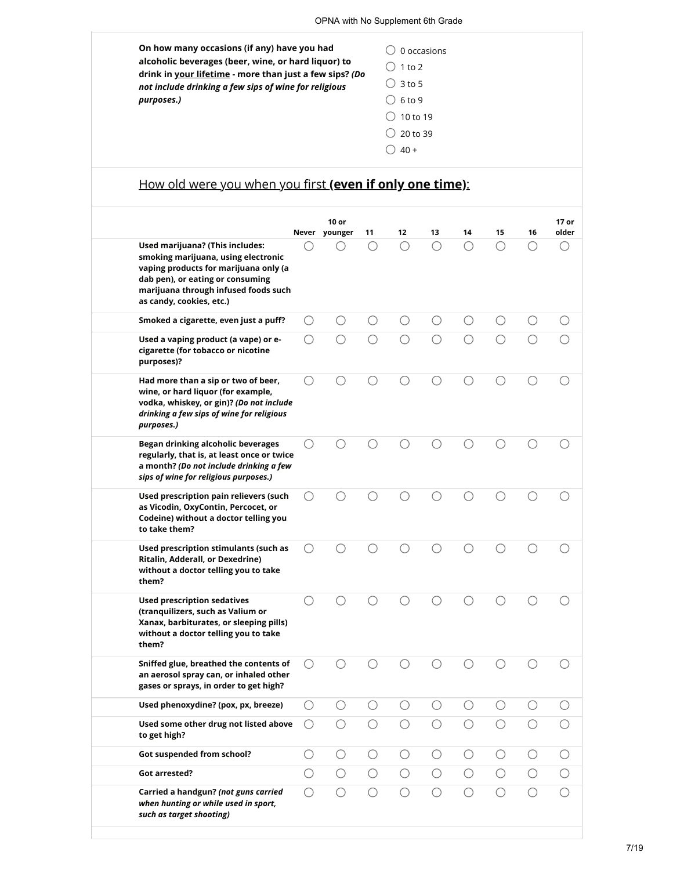| On how many occasions (if any) have you had<br>alcoholic beverages (beer, wine, or hard liquor) to<br>drink in your lifetime - more than just a few sips? (Do<br>not include drinking a few sips of wine for religious<br>purposes.) | 0 occasions<br>$1$ to $2$<br>$()$ 3 to 5<br>$()$ 6 to 9<br>10 to 19<br>20 to 39 |
|--------------------------------------------------------------------------------------------------------------------------------------------------------------------------------------------------------------------------------------|---------------------------------------------------------------------------------|
|                                                                                                                                                                                                                                      | $40 +$                                                                          |

# How old were you when you first **(even if only one time)**:

|                                                                                                                                                                                                                         |            | 10 or<br>Never younger | 11         | 12         | 13         | 14         | 15         | 16         | 17 or<br>older |
|-------------------------------------------------------------------------------------------------------------------------------------------------------------------------------------------------------------------------|------------|------------------------|------------|------------|------------|------------|------------|------------|----------------|
| Used marijuana? (This includes:<br>smoking marijuana, using electronic<br>vaping products for marijuana only (a<br>dab pen), or eating or consuming<br>marijuana through infused foods such<br>as candy, cookies, etc.) | ()         |                        |            | ○          | ∩          | ∩          | ∩          | ∩          | ()             |
| Smoked a cigarette, even just a puff?                                                                                                                                                                                   | O          | ( )                    | ( )        | ( )        | ( )        | ( )        | ()         | O          |                |
| Used a vaping product (a vape) or e-<br>cigarette (for tobacco or nicotine<br>purposes)?                                                                                                                                | ◯          | ∩                      |            | ∩          |            |            |            |            |                |
| Had more than a sip or two of beer,<br>wine, or hard liquor (for example,<br>vodka, whiskey, or gin)? (Do not include<br>drinking a few sips of wine for religious<br>purposes.)                                        | ◯          | ()                     |            |            |            |            |            |            |                |
| Began drinking alcoholic beverages<br>regularly, that is, at least once or twice<br>a month? (Do not include drinking a few<br>sips of wine for religious purposes.)                                                    | ∩          |                        |            |            |            |            |            |            |                |
| Used prescription pain relievers (such<br>as Vicodin, OxyContin, Percocet, or<br>Codeine) without a doctor telling you<br>to take them?                                                                                 | ◯          |                        |            |            |            |            |            |            |                |
| Used prescription stimulants (such as<br>Ritalin, Adderall, or Dexedrine)<br>without a doctor telling you to take<br>them?                                                                                              |            |                        |            |            |            |            |            |            |                |
| <b>Used prescription sedatives</b><br>(tranquilizers, such as Valium or<br>Xanax, barbiturates, or sleeping pills)<br>without a doctor telling you to take<br>them?                                                     |            |                        |            |            |            |            |            |            |                |
| Sniffed glue, breathed the contents of<br>an aerosol spray can, or inhaled other<br>gases or sprays, in order to get high?                                                                                              | ()         |                        |            |            |            |            |            |            |                |
| Used phenoxydine? (pox, px, breeze)                                                                                                                                                                                     | О          | $\bigcirc$             |            |            |            |            |            |            |                |
| Used some other drug not listed above<br>to get high?                                                                                                                                                                   | ( )        | $\bigcirc$             | $\bigcirc$ | $\bigcirc$ | $\bigcirc$ | $\bigcirc$ | $\bigcirc$ | $\bigcirc$ | $\bigcirc$     |
| <b>Got suspended from school?</b>                                                                                                                                                                                       | $\bigcirc$ | $\bigcirc$             | $\bigcirc$ | $\bigcirc$ | $\bigcirc$ | $\bigcirc$ | $\bigcirc$ | $\bigcirc$ | $\bigcirc$     |
| Got arrested?                                                                                                                                                                                                           | О          | $\bigcirc$             | $\bigcirc$ | $\bigcirc$ | $\bigcirc$ | $\bigcirc$ | $\bigcirc$ | $\bigcirc$ | $\bigcirc$     |
| Carried a handgun? (not guns carried<br>when hunting or while used in sport,<br>such as target shooting)                                                                                                                | O          | О                      | О          | О          | $\bigcirc$ | O          | ∩          | $\bigcirc$ | $\bigcirc$     |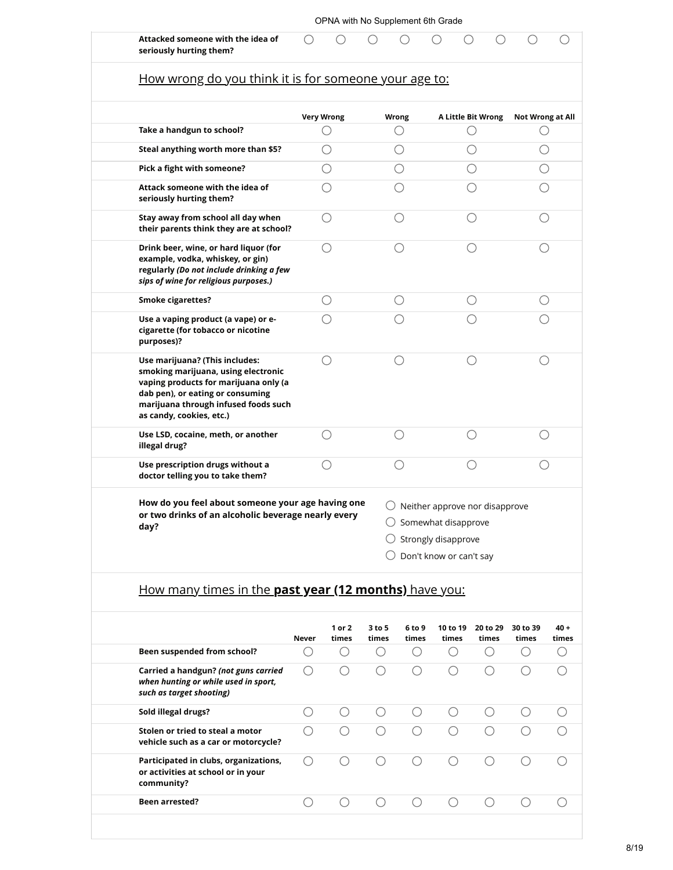| Attacked someone with the idea of<br>seriously hurting them?                                                                                                                                                           |                   |         |                                                                                                                    |                  |
|------------------------------------------------------------------------------------------------------------------------------------------------------------------------------------------------------------------------|-------------------|---------|--------------------------------------------------------------------------------------------------------------------|------------------|
| How wrong do you think it is for someone your age to:                                                                                                                                                                  |                   |         |                                                                                                                    |                  |
|                                                                                                                                                                                                                        | <b>Very Wrong</b> | Wrong   | A Little Bit Wrong                                                                                                 | Not Wrong at All |
| Take a handgun to school?                                                                                                                                                                                              |                   | ()      | ()                                                                                                                 |                  |
| Steal anything worth more than \$5?                                                                                                                                                                                    | ◯                 | ()      |                                                                                                                    |                  |
| Pick a fight with someone?                                                                                                                                                                                             |                   |         |                                                                                                                    |                  |
| Attack someone with the idea of<br>seriously hurting them?                                                                                                                                                             |                   |         |                                                                                                                    |                  |
| Stay away from school all day when<br>their parents think they are at school?                                                                                                                                          |                   |         |                                                                                                                    |                  |
| Drink beer, wine, or hard liquor (for<br>example, vodka, whiskey, or gin)<br>regularly (Do not include drinking a few<br>sips of wine for religious purposes.)                                                         |                   |         |                                                                                                                    |                  |
| <b>Smoke cigarettes?</b>                                                                                                                                                                                               |                   | $( \ )$ |                                                                                                                    |                  |
| Use a vaping product (a vape) or e-<br>cigarette (for tobacco or nicotine<br>purposes)?                                                                                                                                |                   |         |                                                                                                                    |                  |
| Use marijuana? (This includes:<br>smoking marijuana, using electronic<br>vaping products for marijuana only (a<br>dab pen), or eating or consuming<br>marijuana through infused foods such<br>as candy, cookies, etc.) | ◯                 | ( )     |                                                                                                                    |                  |
| Use LSD, cocaine, meth, or another<br>illegal drug?                                                                                                                                                                    |                   |         |                                                                                                                    |                  |
| Use prescription drugs without a<br>doctor telling you to take them?                                                                                                                                                   |                   |         |                                                                                                                    |                  |
| How do you feel about someone your age having one<br>or two drinks of an alcoholic beverage nearly every<br>day?                                                                                                       |                   | O<br>Ő  | Neither approve nor disapprove<br>$\bigcirc$ Somewhat disapprove<br>Strongly disapprove<br>Don't know or can't say |                  |

|                                                                                                          | Never | 1 or 2<br>times | $3$ to 5<br>times | 6 to 9<br>times | 10 to 19<br>times | 20 to 29<br>times | 30 to 39<br>times | $40 +$<br>times |
|----------------------------------------------------------------------------------------------------------|-------|-----------------|-------------------|-----------------|-------------------|-------------------|-------------------|-----------------|
| Been suspended from school?                                                                              |       |                 |                   |                 |                   |                   |                   |                 |
| Carried a handgun? (not guns carried<br>when hunting or while used in sport,<br>such as target shooting) |       |                 |                   |                 |                   |                   |                   |                 |
| Sold illegal drugs?                                                                                      |       |                 |                   |                 |                   |                   |                   |                 |
| Stolen or tried to steal a motor<br>vehicle such as a car or motorcycle?                                 |       |                 |                   |                 |                   |                   |                   |                 |
| Participated in clubs, organizations,<br>or activities at school or in your<br>community?                |       |                 |                   |                 |                   |                   |                   |                 |
| <b>Been arrested?</b>                                                                                    |       |                 |                   |                 |                   |                   |                   |                 |
|                                                                                                          |       |                 |                   |                 |                   |                   |                   |                 |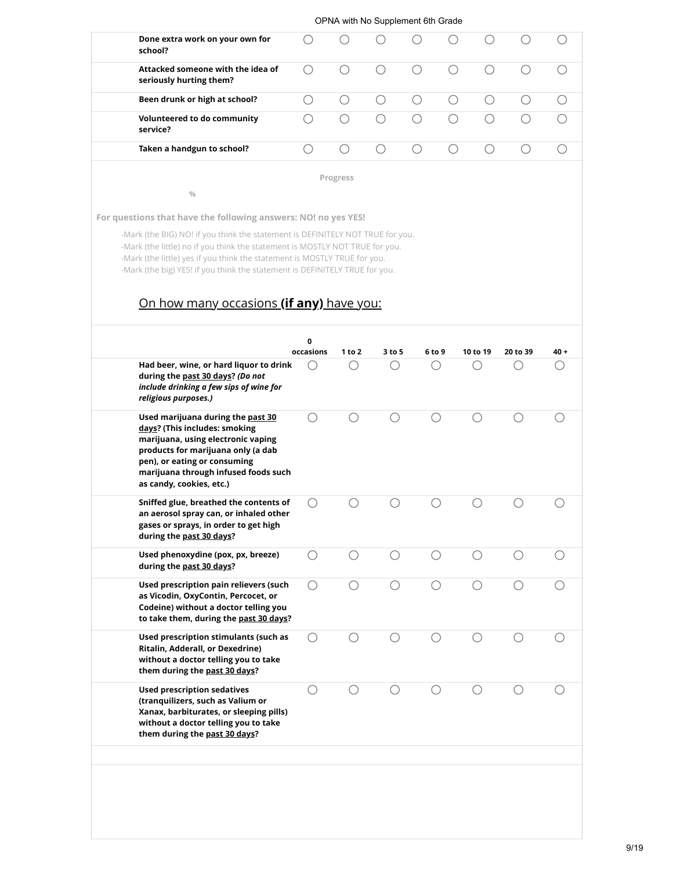|                                                              |   |          | . . |     |  |  |
|--------------------------------------------------------------|---|----------|-----|-----|--|--|
| Done extra work on your own for<br>school?                   | ( | $($ )    | ( ) | ( ) |  |  |
| Attacked someone with the idea of<br>seriously hurting them? |   | $(\ )$   |     | ( ) |  |  |
| Been drunk or high at school?                                |   |          |     | ( ) |  |  |
| Volunteered to do community<br>service?                      |   |          |     |     |  |  |
| Taken a handgun to school?                                   |   | (        |     |     |  |  |
|                                                              |   | Progress |     |     |  |  |

**%**

**For questions that have the following answers: NO! no yes YES!**

-Mark (the BIG) NO! if you think the statement is DEFINITELY NOT TRUE for you. -Mark (the little) no if you think the statement is MOSTLY NOT TRUE for you. -Mark (the little) yes if you think the statement is MOSTLY TRUE for you. -Mark (the big) YES! if you think the statement is DEFINITELY TRUE for you.

### On how many occasions **(if any)** have you:

| Had beer, wine, or hard liquor to drink<br>during the past 30 days? (Do not<br>include drinking a few sips of wine for<br>religious purposes.)                                                                                                     | occasions<br>() | 1 to 2 | 3 to 5 | 6 to 9 | 10 to 19 | 20 to 39 | $40 +$ |
|----------------------------------------------------------------------------------------------------------------------------------------------------------------------------------------------------------------------------------------------------|-----------------|--------|--------|--------|----------|----------|--------|
| Used marijuana during the past 30<br>days? (This includes: smoking<br>marijuana, using electronic vaping<br>products for marijuana only (a dab<br>pen), or eating or consuming<br>marijuana through infused foods such<br>as candy, cookies, etc.) | ∩               |        | ⊖      |        | О.       |          |        |
| Sniffed glue, breathed the contents of<br>an aerosol spray can, or inhaled other<br>gases or sprays, in order to get high<br>during the past 30 days?                                                                                              | ∩               |        |        |        | ⊖        |          |        |
| Used phenoxydine (pox, px, breeze)<br>during the past 30 days?                                                                                                                                                                                     | ◯               |        | ∩      | ∩      | ∩        |          |        |
| Used prescription pain relievers (such<br>as Vicodin, OxyContin, Percocet, or<br>Codeine) without a doctor telling you<br>to take them, during the past 30 days?                                                                                   | ∩               |        |        |        |          |          |        |
| Used prescription stimulants (such as<br>Ritalin, Adderall, or Dexedrine)<br>without a doctor telling you to take<br>them during the past 30 days?                                                                                                 | ∩               |        | ⊖      |        | ○        |          |        |
| <b>Used prescription sedatives</b><br>(tranquilizers, such as Valium or<br>Xanax, barbiturates, or sleeping pills)<br>without a doctor telling you to take<br>them during the past 30 days?                                                        | ()              |        |        |        |          |          |        |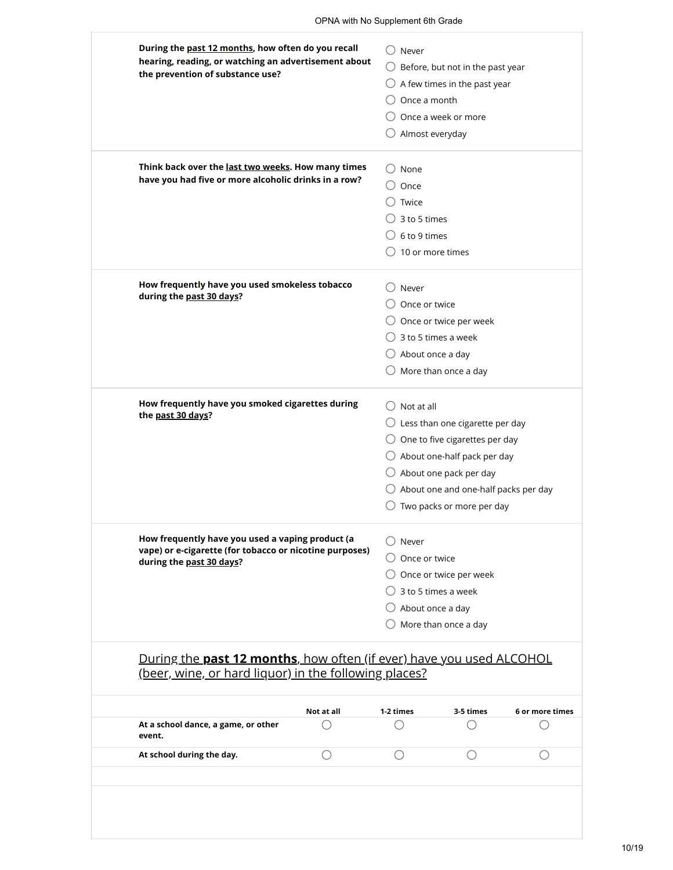| the prevention of substance use?                                                    |                                | $\bigcirc$ Before, but not in the past year |  |
|-------------------------------------------------------------------------------------|--------------------------------|---------------------------------------------|--|
|                                                                                     |                                | $\bigcirc$ A few times in the past year     |  |
|                                                                                     | Once a month                   |                                             |  |
|                                                                                     |                                | $\bigcirc$ Once a week or more              |  |
|                                                                                     | Almost everyday                |                                             |  |
| Think back over the last two weeks. How many times                                  | $\cup$ None                    |                                             |  |
| have you had five or more alcoholic drinks in a row?                                | Once                           |                                             |  |
|                                                                                     | ) Twice                        |                                             |  |
|                                                                                     | 3 to 5 times                   |                                             |  |
|                                                                                     | $\bigcirc$ 6 to 9 times        |                                             |  |
|                                                                                     | $\bigcirc$ 10 or more times    |                                             |  |
| How frequently have you used smokeless tobacco                                      | $\supset$ Never                |                                             |  |
| during the past 30 days?                                                            | Once or twice                  |                                             |  |
|                                                                                     |                                | $\bigcirc$ Once or twice per week           |  |
|                                                                                     | $\bigcirc$ 3 to 5 times a week |                                             |  |
|                                                                                     | $\bigcirc$ About once a day    |                                             |  |
|                                                                                     |                                | $\bigcirc$ More than once a day             |  |
| How frequently have you smoked cigarettes during                                    | $\bigcirc$ Not at all          |                                             |  |
| the past 30 days?                                                                   |                                | $\bigcirc$ Less than one cigarette per day  |  |
|                                                                                     |                                | $\bigcirc$ One to five cigarettes per day   |  |
|                                                                                     |                                | $\bigcirc$ About one-half pack per day      |  |
|                                                                                     |                                | $\bigcirc$ About one pack per day           |  |
|                                                                                     |                                | About one and one-half packs per day        |  |
|                                                                                     |                                | $\bigcirc$ Two packs or more per day        |  |
| How frequently have you used a vaping product (a                                    | $\bigcirc$ Never               |                                             |  |
| vape) or e-cigarette (for tobacco or nicotine purposes)<br>during the past 30 days? | $\bigcirc$ Once or twice       |                                             |  |
|                                                                                     |                                | $\bigcirc$ Once or twice per week           |  |
|                                                                                     | $\bigcirc$ 3 to 5 times a week |                                             |  |
|                                                                                     |                                | About once a day                            |  |
|                                                                                     |                                | More than once a day                        |  |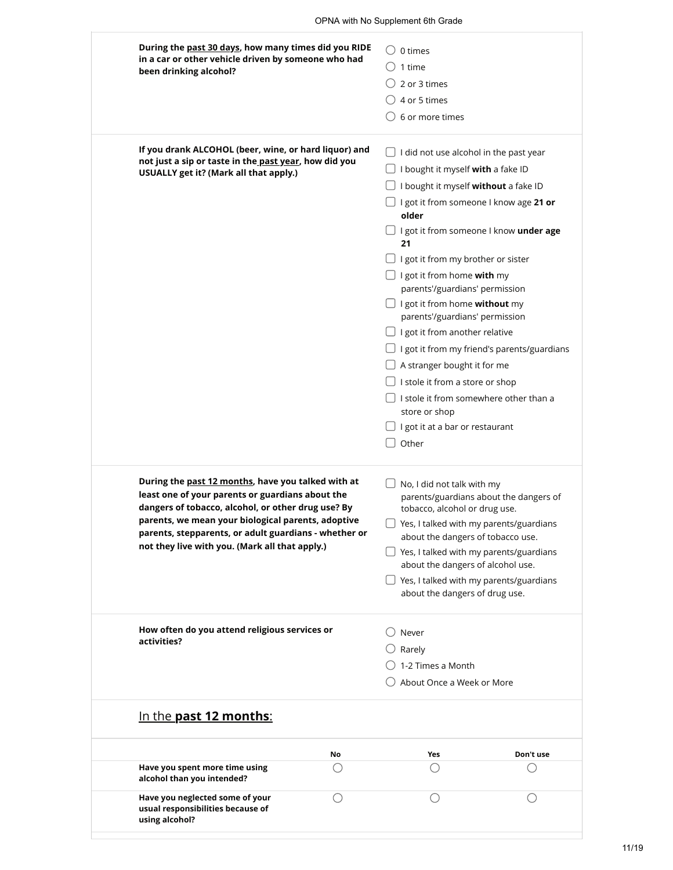| During the past 30 days, how many times did you RIDE<br>in a car or other vehicle driven by someone who had<br>been drinking alcohol?                                                                                                                                                                                         | 0 times<br>1 time<br>2 or 3 times<br>4 or 5 times<br>6 or more times                                                                                                                                                                                                                                                                                                                                                                                                                                                                                                                                                                                                           |
|-------------------------------------------------------------------------------------------------------------------------------------------------------------------------------------------------------------------------------------------------------------------------------------------------------------------------------|--------------------------------------------------------------------------------------------------------------------------------------------------------------------------------------------------------------------------------------------------------------------------------------------------------------------------------------------------------------------------------------------------------------------------------------------------------------------------------------------------------------------------------------------------------------------------------------------------------------------------------------------------------------------------------|
| If you drank ALCOHOL (beer, wine, or hard liquor) and<br>not just a sip or taste in the past year, how did you<br>USUALLY get it? (Mark all that apply.)                                                                                                                                                                      | I did not use alcohol in the past year<br>I bought it myself with a fake ID<br>I bought it myself without a fake ID<br>I got it from someone I know age 21 or<br>older<br>$\Box$ I got it from someone I know <b>under age</b><br>21<br>I got it from my brother or sister<br>$\Box$ I got it from home with my<br>parents'/guardians' permission<br>I got it from home without my<br>parents'/guardians' permission<br>I got it from another relative<br>I got it from my friend's parents/guardians<br>A stranger bought it for me<br>I stole it from a store or shop<br>I stole it from somewhere other than a<br>store or shop<br>I got it at a bar or restaurant<br>Other |
| During the past 12 months, have you talked with at<br>least one of your parents or guardians about the<br>dangers of tobacco, alcohol, or other drug use? By<br>parents, we mean your biological parents, adoptive<br>parents, stepparents, or adult guardians - whether or<br>not they live with you. (Mark all that apply.) | No, I did not talk with my<br>parents/guardians about the dangers of<br>tobacco, alcohol or drug use.<br>Yes, I talked with my parents/guardians<br>about the dangers of tobacco use.<br>$\Box$ Yes, I talked with my parents/guardians<br>about the dangers of alcohol use.<br>Yes, I talked with my parents/guardians<br>about the dangers of drug use.                                                                                                                                                                                                                                                                                                                      |
| How often do you attend religious services or<br>activities?                                                                                                                                                                                                                                                                  | Never<br>Rarely<br>1-2 Times a Month<br>About Once a Week or More                                                                                                                                                                                                                                                                                                                                                                                                                                                                                                                                                                                                              |
| In the <b>past 12 months:</b>                                                                                                                                                                                                                                                                                                 |                                                                                                                                                                                                                                                                                                                                                                                                                                                                                                                                                                                                                                                                                |
| No                                                                                                                                                                                                                                                                                                                            | Yes<br>Don't use                                                                                                                                                                                                                                                                                                                                                                                                                                                                                                                                                                                                                                                               |
| Have you spent more time using<br>$( \ )$<br>alcohol than you intended?                                                                                                                                                                                                                                                       |                                                                                                                                                                                                                                                                                                                                                                                                                                                                                                                                                                                                                                                                                |
| Have you neglected some of your<br>usual responsibilities because of<br>using alcohol?                                                                                                                                                                                                                                        |                                                                                                                                                                                                                                                                                                                                                                                                                                                                                                                                                                                                                                                                                |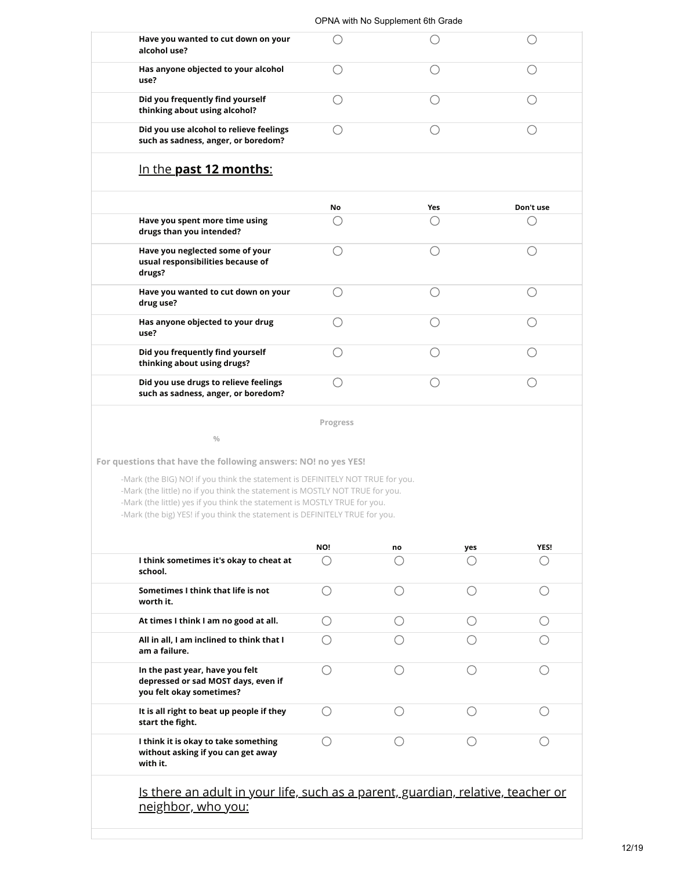| Have you wanted to cut down on your<br>alcohol use?                            |  |  |
|--------------------------------------------------------------------------------|--|--|
| Has anyone objected to your alcohol<br>use?                                    |  |  |
| Did you frequently find yourself<br>thinking about using alcohol?              |  |  |
| Did you use alcohol to relieve feelings<br>such as sadness, anger, or boredom? |  |  |

### In the **past 12 months**:

|                                                                                | <b>No</b> | Yes | Don't use |
|--------------------------------------------------------------------------------|-----------|-----|-----------|
| Have you spent more time using<br>drugs than you intended?                     |           |     |           |
| Have you neglected some of your<br>usual responsibilities because of<br>drugs? |           |     |           |
| Have you wanted to cut down on your<br>drug use?                               |           |     |           |
| Has anyone objected to your drug<br>use?                                       |           |     |           |
| Did you frequently find yourself<br>thinking about using drugs?                |           |     |           |
| Did you use drugs to relieve feelings<br>such as sadness, anger, or boredom?   |           |     |           |

**Progress**

**For questions that have the following answers: NO! no yes YES!**

**%**

-Mark (the BIG) NO! if you think the statement is DEFINITELY NOT TRUE for you. -Mark (the little) no if you think the statement is MOSTLY NOT TRUE for you. -Mark (the little) yes if you think the statement is MOSTLY TRUE for you. -Mark (the big) YES! if you think the statement is DEFINITELY TRUE for you.

|                                                                                                               | NO! | no | yes | YES! |
|---------------------------------------------------------------------------------------------------------------|-----|----|-----|------|
| I think sometimes it's okay to cheat at<br>school.                                                            |     |    |     |      |
| Sometimes I think that life is not<br>worth it.                                                               |     |    |     |      |
| At times I think I am no good at all.                                                                         |     |    |     |      |
| All in all, I am inclined to think that I<br>am a failure.                                                    |     |    |     |      |
| In the past year, have you felt<br>depressed or sad MOST days, even if<br>you felt okay sometimes?            |     |    |     |      |
| It is all right to beat up people if they<br>start the fight.                                                 |     |    |     |      |
| I think it is okay to take something<br>without asking if you can get away<br>with it.                        |     |    |     |      |
| Is there an adult in your life, such as a parent, guardian, relative, teacher or<br><u>neighbor, who you:</u> |     |    |     |      |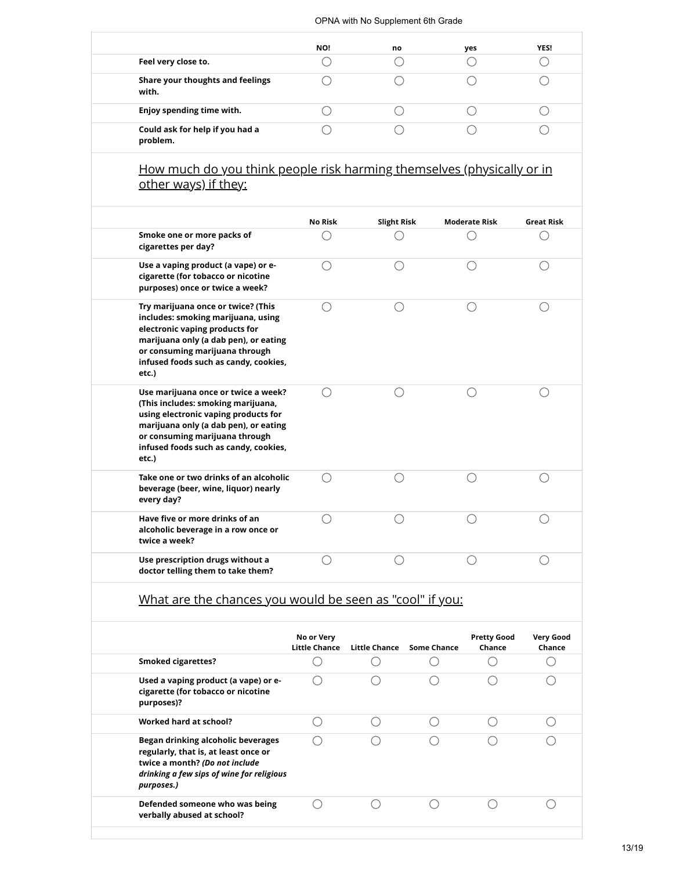|                                             | NO! | no | yes | YES! |
|---------------------------------------------|-----|----|-----|------|
| Feel very close to.                         |     |    |     |      |
| Share your thoughts and feelings<br>with.   |     |    |     |      |
| Enjoy spending time with.                   |     |    |     |      |
| Could ask for help if you had a<br>problem. |     |    |     |      |

#### How much do you think people risk harming themselves (physically or in <u>other ways) if they:</u>

| Smoke one or more packs of<br>cigarettes per day?                                                                                                                                                                                              | No Risk | <b>Slight Risk</b> | <b>Moderate Risk</b> | <b>Great Risk</b> |  |
|------------------------------------------------------------------------------------------------------------------------------------------------------------------------------------------------------------------------------------------------|---------|--------------------|----------------------|-------------------|--|
| Use a vaping product (a vape) or e-<br>cigarette (for tobacco or nicotine<br>purposes) once or twice a week?                                                                                                                                   |         |                    |                      |                   |  |
| Try marijuana once or twice? (This<br>includes: smoking marijuana, using<br>electronic vaping products for<br>marijuana only (a dab pen), or eating<br>or consuming marijuana through<br>infused foods such as candy, cookies,<br>etc.)        |         |                    |                      |                   |  |
| Use marijuana once or twice a week?<br>(This includes: smoking marijuana,<br>using electronic vaping products for<br>marijuana only (a dab pen), or eating<br>or consuming marijuana through<br>infused foods such as candy, cookies,<br>etc.) |         |                    |                      |                   |  |
| Take one or two drinks of an alcoholic<br>beverage (beer, wine, liquor) nearly<br>every day?                                                                                                                                                   |         |                    |                      |                   |  |
| Have five or more drinks of an<br>alcoholic beverage in a row once or<br>twice a week?                                                                                                                                                         |         |                    |                      |                   |  |
| Use prescription drugs without a<br>doctor telling them to take them?                                                                                                                                                                          |         |                    |                      |                   |  |

### What are the chances you would be seen as "cool" if you:

|                                                                                                                                                                         | No or Very<br>Little Chance | Little Chance | Some Chance | <b>Pretty Good</b><br>Chance | <b>Very Good</b><br>Chance |
|-------------------------------------------------------------------------------------------------------------------------------------------------------------------------|-----------------------------|---------------|-------------|------------------------------|----------------------------|
| <b>Smoked cigarettes?</b>                                                                                                                                               |                             |               |             |                              |                            |
| Used a vaping product (a vape) or e-<br>cigarette (for tobacco or nicotine<br>purposes)?                                                                                |                             |               |             |                              |                            |
| Worked hard at school?                                                                                                                                                  |                             |               |             |                              |                            |
| Began drinking alcoholic beverages<br>regularly, that is, at least once or<br>twice a month? (Do not include<br>drinking a few sips of wine for religious<br>purposes.) |                             |               |             |                              |                            |
| Defended someone who was being<br>verbally abused at school?                                                                                                            |                             |               |             |                              |                            |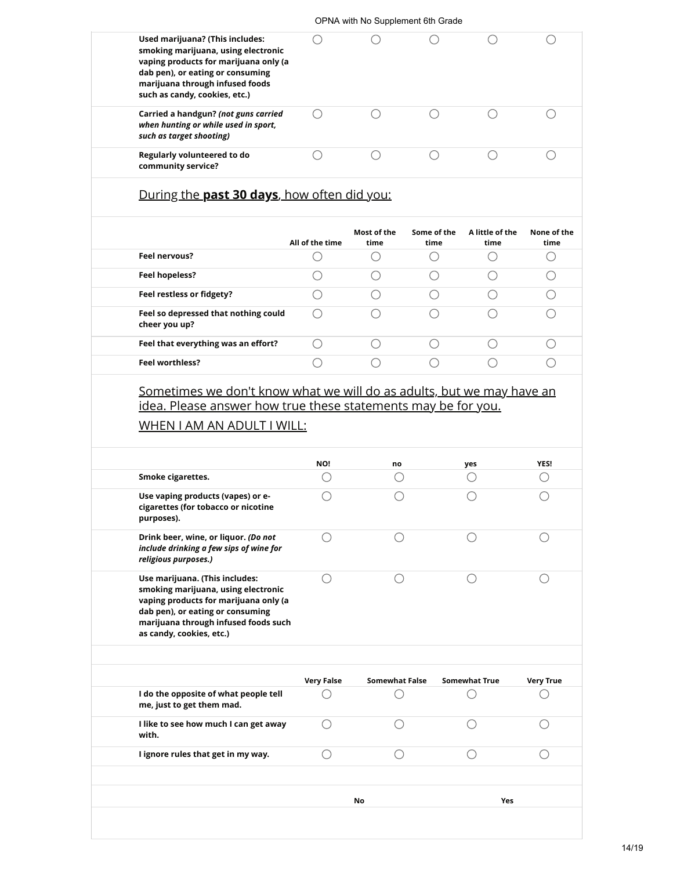| Used marijuana? (This includes:<br>smoking marijuana, using electronic<br>vaping products for marijuana only (a<br>dab pen), or eating or consuming<br>marijuana through infused foods<br>such as candy, cookies, etc.) |                                             |                                             |                     |                         | ( )                                         |
|-------------------------------------------------------------------------------------------------------------------------------------------------------------------------------------------------------------------------|---------------------------------------------|---------------------------------------------|---------------------|-------------------------|---------------------------------------------|
| Carried a handgun? (not guns carried<br>when hunting or while used in sport,<br>such as target shooting)                                                                                                                | ◯                                           | ∩                                           | ∩                   | ∩                       | $(\ )$                                      |
| Regularly volunteered to do<br>community service?                                                                                                                                                                       | $\left(\begin{array}{c} \end{array}\right)$ | ◯                                           | ◯                   | ∩                       | ◯                                           |
| During the past 30 days, how often did you:                                                                                                                                                                             |                                             |                                             |                     |                         |                                             |
|                                                                                                                                                                                                                         | All of the time                             | Most of the<br>time                         | Some of the<br>time | A little of the<br>time | None of the<br>time                         |
| Feel nervous?                                                                                                                                                                                                           |                                             | ( )                                         | 0                   | ()                      | $\bigcirc$                                  |
| Feel hopeless?                                                                                                                                                                                                          | ()                                          | ◯                                           | ()                  | ◯                       | ()                                          |
| Feel restless or fidgety?                                                                                                                                                                                               |                                             | ( )                                         | ()                  | ()                      | ()                                          |
| Feel so depressed that nothing could<br>cheer you up?                                                                                                                                                                   |                                             |                                             |                     |                         | ()                                          |
| Feel that everything was an effort?                                                                                                                                                                                     | ()                                          | $\left(\right)$                             | ()                  |                         | $\left(\begin{array}{c} \end{array}\right)$ |
|                                                                                                                                                                                                                         |                                             | $\left(\begin{array}{c} \end{array}\right)$ | ∩                   |                         | ◯                                           |
|                                                                                                                                                                                                                         |                                             |                                             |                     |                         |                                             |
| <b>Feel worthless?</b><br>Sometimes we don't know what we will do as adults, but we may have an<br>idea. Please answer how true these statements may be for you.<br>WHEN I AM AN ADULT I WILL:                          | NO!                                         | no                                          |                     | yes                     |                                             |
| Smoke cigarettes.<br>Use vaping products (vapes) or e-<br>cigarettes (for tobacco or nicotine<br>purposes).                                                                                                             | ()<br>0                                     | O<br>⊖                                      |                     | ()<br>0                 | O<br>0                                      |
| Drink beer, wine, or liquor. (Do not<br>include drinking a few sips of wine for<br>religious purposes.)                                                                                                                 |                                             |                                             |                     |                         |                                             |
| Use marijuana. (This includes:<br>smoking marijuana, using electronic<br>vaping products for marijuana only (a<br>dab pen), or eating or consuming<br>marijuana through infused foods such<br>as candy, cookies, etc.)  | ()                                          | С.                                          |                     | ()                      |                                             |
|                                                                                                                                                                                                                         | <b>Very False</b>                           | <b>Somewhat False</b>                       |                     | <b>Somewhat True</b>    |                                             |
| I do the opposite of what people tell<br>me, just to get them mad.                                                                                                                                                      |                                             |                                             |                     |                         | <b>YES!</b><br><b>Very True</b>             |
| I like to see how much I can get away<br>with.                                                                                                                                                                          | ( )                                         | ()                                          |                     |                         |                                             |
| I ignore rules that get in my way.                                                                                                                                                                                      | ∩                                           | ∩                                           |                     | ( )                     | ()                                          |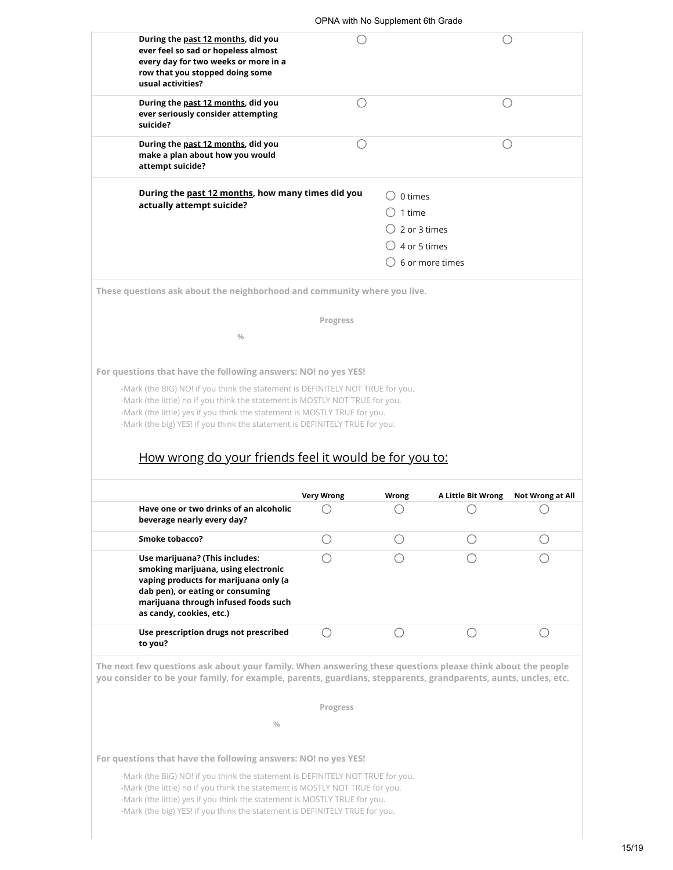|                                                                                                                                                                                                                                                                                                 |                                                         | OPNA with No Supplement 6th Grade |                    |                                             |
|-------------------------------------------------------------------------------------------------------------------------------------------------------------------------------------------------------------------------------------------------------------------------------------------------|---------------------------------------------------------|-----------------------------------|--------------------|---------------------------------------------|
| During the past 12 months, did you<br>ever feel so sad or hopeless almost<br>every day for two weeks or more in a<br>row that you stopped doing some<br>usual activities?                                                                                                                       |                                                         |                                   |                    |                                             |
| During the past 12 months, did you<br>ever seriously consider attempting<br>suicide?                                                                                                                                                                                                            | $\left(\begin{smallmatrix}1\\1\end{smallmatrix}\right)$ |                                   |                    | $\left(\begin{array}{c} \end{array}\right)$ |
| During the past 12 months, did you<br>make a plan about how you would<br>attempt suicide?                                                                                                                                                                                                       |                                                         |                                   |                    |                                             |
| During the past 12 months, how many times did you                                                                                                                                                                                                                                               |                                                         | 0 times                           |                    |                                             |
| actually attempt suicide?                                                                                                                                                                                                                                                                       |                                                         | 1 time                            |                    |                                             |
|                                                                                                                                                                                                                                                                                                 |                                                         | 2 or 3 times                      |                    |                                             |
|                                                                                                                                                                                                                                                                                                 |                                                         | 4 or 5 times                      |                    |                                             |
|                                                                                                                                                                                                                                                                                                 |                                                         |                                   | 6 or more times    |                                             |
| These questions ask about the neighborhood and community where you live.                                                                                                                                                                                                                        |                                                         |                                   |                    |                                             |
|                                                                                                                                                                                                                                                                                                 | Progress                                                |                                   |                    |                                             |
| $\frac{0}{0}$                                                                                                                                                                                                                                                                                   |                                                         |                                   |                    |                                             |
| How wrong do your friends feel it would be for you to:                                                                                                                                                                                                                                          |                                                         |                                   |                    |                                             |
|                                                                                                                                                                                                                                                                                                 | <b>Very Wrong</b>                                       | <b>Wrong</b>                      | A Little Bit Wrong | <b>Not Wrong at All</b>                     |
| Have one or two drinks of an alcoholic<br>beverage nearly every day?                                                                                                                                                                                                                            |                                                         |                                   | ⌒                  |                                             |
| <b>Smoke tobacco?</b>                                                                                                                                                                                                                                                                           | ()                                                      |                                   |                    |                                             |
| Use marijuana? (This includes:                                                                                                                                                                                                                                                                  |                                                         |                                   |                    |                                             |
| smoking marijuana, using electronic<br>vaping products for marijuana only (a<br>dab pen), or eating or consuming<br>marijuana through infused foods such<br>as candy, cookies, etc.)                                                                                                            |                                                         |                                   |                    |                                             |
| Use prescription drugs not prescribed<br>to you?                                                                                                                                                                                                                                                | ◯                                                       | О                                 | ◯                  | ◯                                           |
|                                                                                                                                                                                                                                                                                                 |                                                         |                                   |                    |                                             |
|                                                                                                                                                                                                                                                                                                 | Progress                                                |                                   |                    |                                             |
| $\frac{0}{0}$                                                                                                                                                                                                                                                                                   |                                                         |                                   |                    |                                             |
| The next few questions ask about your family. When answering these questions please think about the people<br>you consider to be your family, for example, parents, guardians, stepparents, grandparents, aunts, uncles, etc.<br>For questions that have the following answers: NO! no yes YES! |                                                         |                                   |                    |                                             |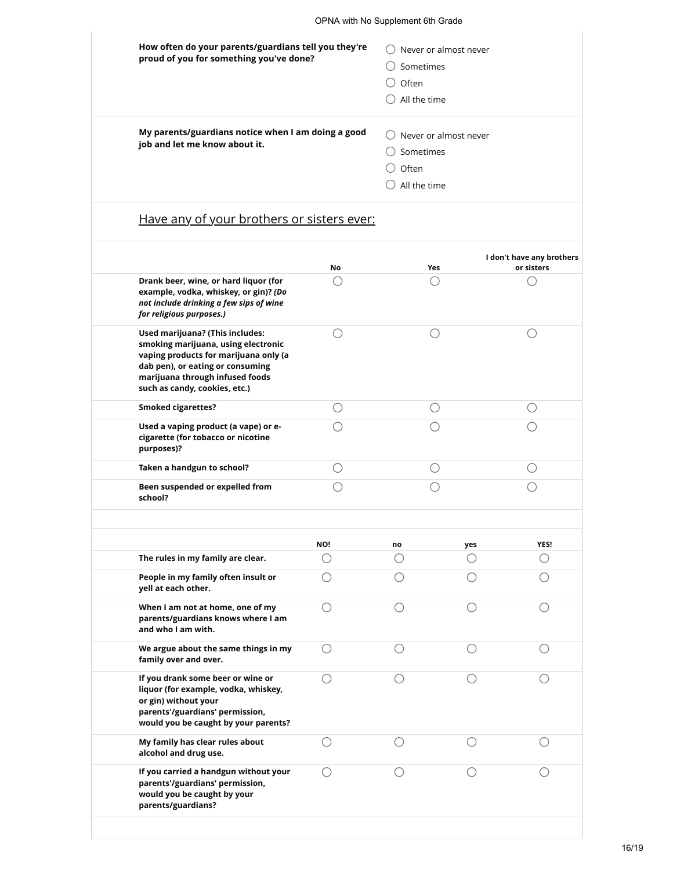| How often do your parents/guardians tell you they're<br>proud of you for something you've done? | Never or almost never<br>Sometimes<br>Often<br>All the time |
|-------------------------------------------------------------------------------------------------|-------------------------------------------------------------|
| My parents/guardians notice when I am doing a good<br>job and let me know about it.             | Never or almost never<br>Sometimes<br>Often<br>All the time |

## Have any of your brothers or sisters ever:

|                                                                                                                                                                                                                         | No        | <b>Yes</b> |           | I don't have any brothers<br>or sisters     |
|-------------------------------------------------------------------------------------------------------------------------------------------------------------------------------------------------------------------------|-----------|------------|-----------|---------------------------------------------|
| Drank beer, wine, or hard liquor (for<br>example, vodka, whiskey, or gin)? (Do<br>not include drinking a few sips of wine<br>for religious purposes.)                                                                   |           | ()         |           |                                             |
| Used marijuana? (This includes:<br>smoking marijuana, using electronic<br>vaping products for marijuana only (a<br>dab pen), or eating or consuming<br>marijuana through infused foods<br>such as candy, cookies, etc.) | ()        | ()         |           |                                             |
| <b>Smoked cigarettes?</b>                                                                                                                                                                                               | O         | $\bigcirc$ |           | $\left(\begin{array}{c} \end{array}\right)$ |
| Used a vaping product (a vape) or e-<br>cigarette (for tobacco or nicotine<br>purposes)?                                                                                                                                |           |            |           |                                             |
| Taken a handgun to school?                                                                                                                                                                                              | ()        | ()         |           | ()                                          |
| Been suspended or expelled from<br>school?                                                                                                                                                                              | 0         | 0          |           |                                             |
|                                                                                                                                                                                                                         |           |            |           |                                             |
| The rules in my family are clear.                                                                                                                                                                                       | NO!<br>() | no<br>()   | yes<br>() | <b>YES!</b><br>()                           |
| People in my family often insult or<br>yell at each other.                                                                                                                                                              |           |            |           |                                             |
| When I am not at home, one of my<br>parents/guardians knows where I am<br>and who I am with.                                                                                                                            | ◯         |            |           |                                             |
| We argue about the same things in my<br>family over and over.                                                                                                                                                           | ◯         |            |           |                                             |
| If you drank some beer or wine or<br>liquor (for example, vodka, whiskey,<br>or gin) without your<br>parents'/guardians' permission,<br>would you be caught by your parents?                                            | ()        | ()         |           | Ο                                           |
| My family has clear rules about<br>alcohol and drug use.                                                                                                                                                                |           |            |           |                                             |
| If you carried a handgun without your<br>parents'/guardians' permission,<br>would you be caught by your<br>parents/guardians?                                                                                           | ()        | ()         |           |                                             |
|                                                                                                                                                                                                                         |           |            |           |                                             |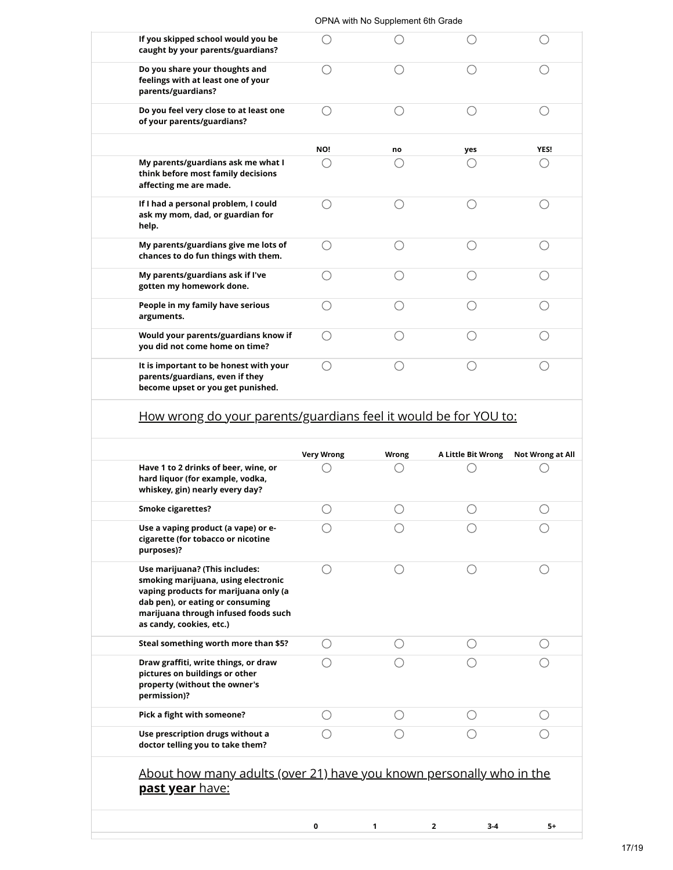|                                                                                                                | OPNA with No Supplement 6th Grade |    |     |      |
|----------------------------------------------------------------------------------------------------------------|-----------------------------------|----|-----|------|
| If you skipped school would you be<br>caught by your parents/guardians?                                        |                                   |    |     |      |
| Do you share your thoughts and<br>feelings with at least one of your<br>parents/guardians?                     |                                   |    |     |      |
| Do you feel very close to at least one<br>of your parents/guardians?                                           | Ω                                 |    |     |      |
|                                                                                                                | NO!                               | no | yes | YES! |
| My parents/guardians ask me what I<br>think before most family decisions<br>affecting me are made.             |                                   |    |     |      |
| If I had a personal problem, I could<br>ask my mom, dad, or guardian for<br>help.                              |                                   |    |     |      |
| My parents/guardians give me lots of<br>chances to do fun things with them.                                    |                                   |    |     |      |
| My parents/guardians ask if I've<br>gotten my homework done.                                                   |                                   |    |     |      |
| People in my family have serious<br>arguments.                                                                 |                                   |    |     |      |
| Would your parents/guardians know if<br>you did not come home on time?                                         |                                   |    |     |      |
| It is important to be honest with your<br>parents/guardians, even if they<br>become upset or you get punished. |                                   |    |     |      |

|                                                                                                                                                                                                                        | <b>Very Wrong</b> | <b>Wrong</b> | A Little Bit Wrong      | Not Wrong at All |
|------------------------------------------------------------------------------------------------------------------------------------------------------------------------------------------------------------------------|-------------------|--------------|-------------------------|------------------|
| Have 1 to 2 drinks of beer, wine, or<br>hard liquor (for example, vodka,<br>whiskey, gin) nearly every day?                                                                                                            |                   |              |                         |                  |
| <b>Smoke cigarettes?</b>                                                                                                                                                                                               |                   |              |                         |                  |
| Use a vaping product (a vape) or e-<br>cigarette (for tobacco or nicotine<br>purposes)?                                                                                                                                |                   |              |                         |                  |
| Use marijuana? (This includes:<br>smoking marijuana, using electronic<br>vaping products for marijuana only (a<br>dab pen), or eating or consuming<br>marijuana through infused foods such<br>as candy, cookies, etc.) |                   |              |                         |                  |
| Steal something worth more than \$5?                                                                                                                                                                                   |                   |              |                         |                  |
| Draw graffiti, write things, or draw<br>pictures on buildings or other<br>property (without the owner's<br>permission)?                                                                                                |                   |              |                         |                  |
| Pick a fight with someone?                                                                                                                                                                                             |                   |              |                         |                  |
| Use prescription drugs without a<br>doctor telling you to take them?                                                                                                                                                   |                   |              |                         |                  |
| About how many adults (over 21) have you known personally who in the<br><u>past year have:</u>                                                                                                                         |                   |              |                         |                  |
|                                                                                                                                                                                                                        | 0                 | 1            | $\overline{2}$<br>$3-4$ | 5+               |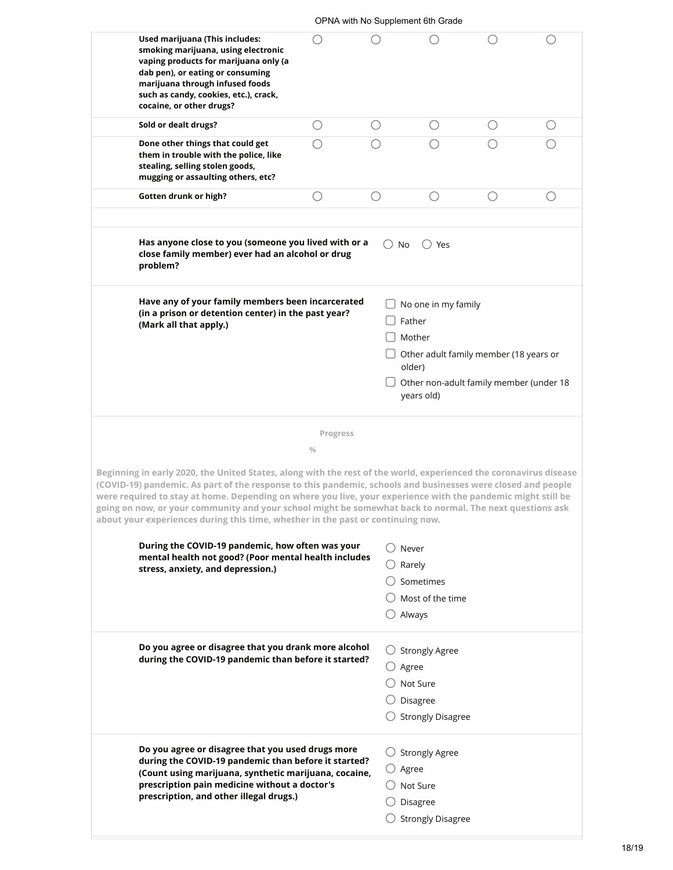| Used marijuana (This includes:<br>smoking marijuana, using electronic                                                                                                                                                                                                                                                                                                                                                       |                           | OPNA with No Supplement 6th Grade |                                                                                                                                                      |                   |                                             |  |
|-----------------------------------------------------------------------------------------------------------------------------------------------------------------------------------------------------------------------------------------------------------------------------------------------------------------------------------------------------------------------------------------------------------------------------|---------------------------|-----------------------------------|------------------------------------------------------------------------------------------------------------------------------------------------------|-------------------|---------------------------------------------|--|
| vaping products for marijuana only (a<br>dab pen), or eating or consuming<br>marijuana through infused foods<br>such as candy, cookies, etc.), crack,<br>cocaine, or other drugs?                                                                                                                                                                                                                                           |                           |                                   |                                                                                                                                                      |                   |                                             |  |
| Sold or dealt drugs?                                                                                                                                                                                                                                                                                                                                                                                                        | O                         | O                                 | $\left(\begin{array}{c} \end{array}\right)$                                                                                                          | ()                | $\left(\begin{array}{c} \end{array}\right)$ |  |
| Done other things that could get<br>them in trouble with the police, like<br>stealing, selling stolen goods,<br>mugging or assaulting others, etc?                                                                                                                                                                                                                                                                          | 〔 〕                       |                                   |                                                                                                                                                      |                   |                                             |  |
| Gotten drunk or high?                                                                                                                                                                                                                                                                                                                                                                                                       | ()                        | ()                                | ()                                                                                                                                                   | $\left(\ \right)$ | ()                                          |  |
| Has anyone close to you (someone you lived with or a<br>close family member) ever had an alcohol or drug<br>problem?                                                                                                                                                                                                                                                                                                        |                           | $\bigcirc$ No                     | ○ Yes                                                                                                                                                |                   |                                             |  |
| Have any of your family members been incarcerated<br>(in a prison or detention center) in the past year?<br>(Mark all that apply.)                                                                                                                                                                                                                                                                                          |                           |                                   | No one in my family<br>Father<br>Mother<br>Other adult family member (18 years or<br>older)<br>Other non-adult family member (under 18<br>years old) |                   |                                             |  |
| Beginning in early 2020, the United States, along with the rest of the world, experienced the coronavirus disease<br>(COVID-19) pandemic. As part of the response to this pandemic, schools and businesses were closed and people                                                                                                                                                                                           | Progress<br>$\frac{0}{0}$ |                                   |                                                                                                                                                      |                   |                                             |  |
|                                                                                                                                                                                                                                                                                                                                                                                                                             |                           |                                   |                                                                                                                                                      |                   |                                             |  |
| During the COVID-19 pandemic, how often was your<br>mental health not good? (Poor mental health includes<br>stress, anxiety, and depression.)                                                                                                                                                                                                                                                                               |                           |                                   | Never<br>Rarely<br>Sometimes<br>Most of the time<br>Always                                                                                           |                   |                                             |  |
| were required to stay at home. Depending on where you live, your experience with the pandemic might still be<br>going on now, or your community and your school might be somewhat back to normal. The next questions ask<br>about your experiences during this time, whether in the past or continuing now.<br>Do you agree or disagree that you drank more alcohol<br>during the COVID-19 pandemic than before it started? |                           | $\bigcirc$ Agree                  | $\bigcirc$ Strongly Agree<br>Not Sure<br>Disagree<br><b>Strongly Disagree</b>                                                                        |                   |                                             |  |